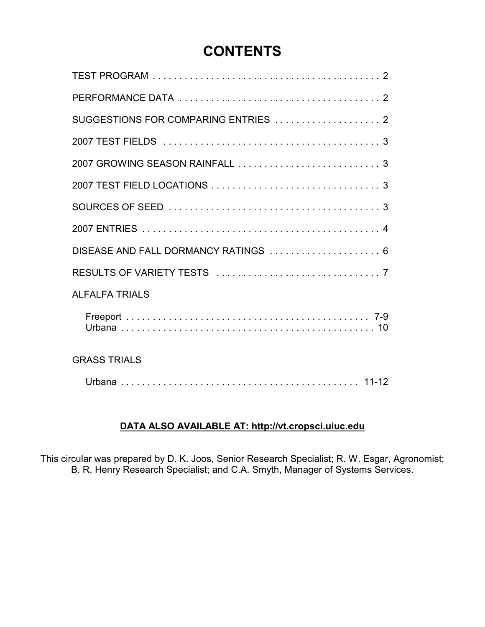# **CONTENTS**

| SUGGESTIONS FOR COMPARING ENTRIES  2 |
|--------------------------------------|
|                                      |
|                                      |
|                                      |
|                                      |
|                                      |
| DISEASE AND FALL DORMANCY RATINGS  6 |
|                                      |
| <b>ALFALFA TRIALS</b>                |
|                                      |
| <b>GRASS TRIALS</b>                  |
|                                      |

### **DATA ALSO AVAILABLE AT: http://vt.cropsci.uiuc.edu**

This circular was prepared by D. K. Joos, Senior Research Specialist; R. W. Esgar, Agronomist; B. R. Henry Research Specialist; and C.A. Smyth, Manager of Systems Services.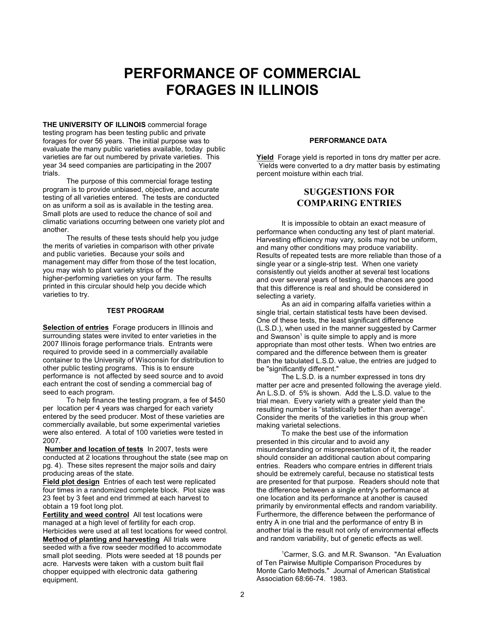# **PERFORMANCE OF COMMERCIAL FORAGES IN ILLINOIS**

**THE UNIVERSITY OF ILLINOIS** commercial forage testing program has been testing public and private forages for over 56 years. The initial purpose was to evaluate the many public varieties available, today public varieties are far out numbered by private varieties. This year 34 seed companies are participating in the 2007 trials.

The purpose of this commercial forage testing program is to provide unbiased, objective, and accurate testing of all varieties entered. The tests are conducted on as uniform a soil as is available in the testing area. Small plots are used to reduce the chance of soil and climatic variations occurring between one variety plot and another.

The results of these tests should help you judge the merits of varieties in comparison with other private and public varieties. Because your soils and management may differ from those of the test location, you may wish to plant variety strips of the higher-performing varieties on your farm. The results printed in this circular should help you decide which varieties to try.

#### **TEST PROGRAM**

**Selection of entries** Forage producers in Illinois and surrounding states were invited to enter varieties in the 2007 Illinois forage performance trials. Entrants were required to provide seed in a commercially available container to the University of Wisconsin for distribution to other public testing programs. This is to ensure performance is not affected by seed source and to avoid each entrant the cost of sending a commercial bag of seed to each program.

To help finance the testing program, a fee of \$450 per location per 4 years was charged for each variety entered by the seed producer. Most of these varieties are commercially available, but some experimental varieties were also entered. A total of 100 varieties were tested in 2007.

**Number and location of tests** In 2007, tests were conducted at 2 locations throughout the state (see map on pg. 4). These sites represent the major soils and dairy producing areas of the state.

**Field plot design** Entries of each test were replicated four times in a randomized complete block. Plot size was 23 feet by 3 feet and end trimmed at each harvest to obtain a 19 foot long plot.

**Fertility and weed control** All test locations were managed at a high level of fertility for each crop. Herbicides were used at all test locations for weed control. **Method of planting and harvesting** All trials were seeded with a five row seeder modified to accommodate small plot seeding. Plots were seeded at 18 pounds per acre. Harvests were taken with a custom built flail chopper equipped with electronic data gathering equipment.

#### **PERFORMANCE DATA**

**Yield** Forage yield is reported in tons dry matter per acre. Yields were converted to a dry matter basis by estimating percent moisture within each trial.

### **SUGGESTIONS FOR COMPARING ENTRIES**

It is impossible to obtain an exact measure of performance when conducting any test of plant material. Harvesting efficiency may vary, soils may not be uniform, and many other conditions may produce variability. Results of repeated tests are more reliable than those of a single year or a single-strip test. When one variety consistently out yields another at several test locations and over several years of testing, the chances are good that this difference is real and should be considered in selecting a variety.

As an aid in comparing alfalfa varieties within a single trial, certain statistical tests have been devised. One of these tests, the least significant difference (L.S.D.), when used in the manner suggested by Carmer and Swanson<sup>1</sup> is quite simple to apply and is more appropriate than most other tests. When two entries are compared and the difference between them is greater than the tabulated L.S.D. value, the entries are judged to be "significantly different."

The L.S.D. is a number expressed in tons dry matter per acre and presented following the average yield. An L.S.D. of 5% is shown. Add the L.S.D. value to the trial mean. Every variety with a greater yield than the resulting number is "statistically better than average". Consider the merits of the varieties in this group when making varietal selections.

To make the best use of the information presented in this circular and to avoid any misunderstanding or misrepresentation of it, the reader should consider an additional caution about comparing entries. Readers who compare entries in different trials should be extremely careful, because no statistical tests are presented for that purpose. Readers should note that the difference between a single entry's performance at one location and its performance at another is caused primarily by environmental effects and random variability. Furthermore, the difference between the performance of entry A in one trial and the performance of entry B in another trial is the result not only of environmental effects and random variability, but of genetic effects as well.

<sup>1</sup>Carmer, S.G. and M.R. Swanson. "An Evaluation of Ten Pairwise Multiple Comparison Procedures by Monte Carlo Methods." Journal of American Statistical Association 68:66-74. 1983.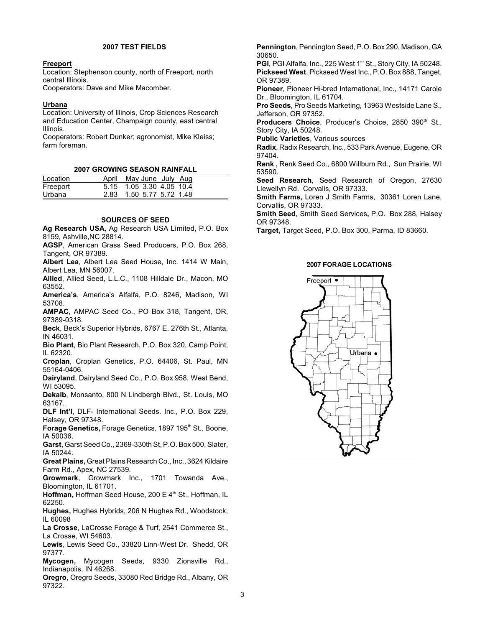#### **2007 TEST FIELDS**

#### **Freeport**

Location: Stephenson county, north of Freeport, north central Illinois.

Cooperators: Dave and Mike Macomber.

#### **Urbana**

Location: University of Illinois, Crop Sciences Research and Education Center, Champaign county, east central Illinois.

Cooperators: Robert Dunker; agronomist, Mike Kleiss; farm foreman.

#### **2007 GROWING SEASON RAINFALL**

| Location | April May June July Aug  |
|----------|--------------------------|
| Freeport | 5.15 1.05 3.30 4.05 10.4 |
| Urbana   | 2.83 1.50 5.77 5.72 1.48 |

#### **SOURCES OF SEED**

**Ag Research USA**, Ag Research USA Limited, P.O. Box 8159, Ashville,NC 28814.

**AGSP**, American Grass Seed Producers, P.O. Box 268, Tangent, OR 97389.

**Albert Lea**, Albert Lea Seed House, Inc. 1414 W Main, Albert Lea, MN 56007.

**Allied**, Allied Seed, L.L.C., 1108 Hilldale Dr., Macon, MO 63552.

**America's**, America's Alfalfa, P.O. 8246, Madison, WI 53708.

**AMPAC**, AMPAC Seed Co., PO Box 318, Tangent, OR, 97389-0318.

**Beck**, Beck's Superior Hybrids, 6767 E. 276th St., Atlanta, IN 46031.

**Bio Plant**, Bio Plant Research, P.O. Box 320, Camp Point, IL 62320.

**Croplan**, Croplan Genetics, P.O. 64406, St. Paul, MN 55164-0406.

**Dairyland**, Dairyland Seed Co., P.O. Box 958, West Bend, WI 53095.

**Dekalb**, Monsanto, 800 N Lindbergh Blvd., St. Louis, MO 63167.

**DLF Int'l**, DLF- International Seeds. Inc., P.O. Box 229, Halsey, OR 97348.

**Forage Genetics, Forage Genetics, 1897 195<sup>th</sup> St., Boone,** IA 50036.

Garst, Garst Seed Co., 2369-330th St, P.O. Box 500, Slater, IA 50244.

**Great Plains,** Great Plains Research Co., Inc., 3624 Kildaire Farm Rd., Apex, NC 27539.

**Growmark**, Growmark Inc., 1701 Towanda Ave., Bloomington, IL 61701.

**Hoffman, Hoffman Seed House, 200 E 4th St., Hoffman, IL** 62250.

**Hughes,** Hughes Hybrids, 206 N Hughes Rd., Woodstock, IL 60098

**La Crosse**, LaCrosse Forage & Turf, 2541 Commerce St., La Crosse, WI 54603.

**Lewis**, Lewis Seed Co., 33820 Linn-West Dr. Shedd, OR 97377.

**Mycogen,** Mycogen Seeds, 9330 Zionsville Rd., Indianapolis, IN 46268.

**Oregro**, Oregro Seeds, 33080 Red Bridge Rd., Albany, OR 97322.

**Pennington**, Pennington Seed, P.O. Box 290, Madison, GA 30650. PGI, PGI Alfalfa, Inc., 225 West 1<sup>st</sup> St., Story City, IA 50248. **Pickseed West**, Pickseed West Inc., P.O. Box 888, Tanget, OR 97389. **Pioneer**, Pioneer Hi-bred International, Inc., 14171 Carole Dr., Bloomington, IL 61704. **Pro Seeds**, Pro Seeds Marketing, 13963 Westside Lane S., Jefferson, OR 97352. Producers Choice, Producer's Choice, 2850 390<sup>th</sup> St., Story City, IA 50248. **Public Varieties**, Various sources **Radix**, Radix Research, Inc., 533 Park Avenue, Eugene, OR 97404. **Renk ,** Renk Seed Co., 6800 Willburn Rd., Sun Prairie, WI 53590. **Seed Research**, Seed Research of Oregon, 27630 Llewellyn Rd. Corvalis, OR 97333. **Smith Farms,** Loren J Smith Farms, 30361 Loren Lane, Corvallis, OR 97333.

**Smith Seed**, Smith Seed Services**,** P.O. Box 288, Halsey OR 97348.

**Target,** Target Seed, P.O. Box 300, Parma, ID 83660.

#### **2007 FORAGE LOCATIONS**

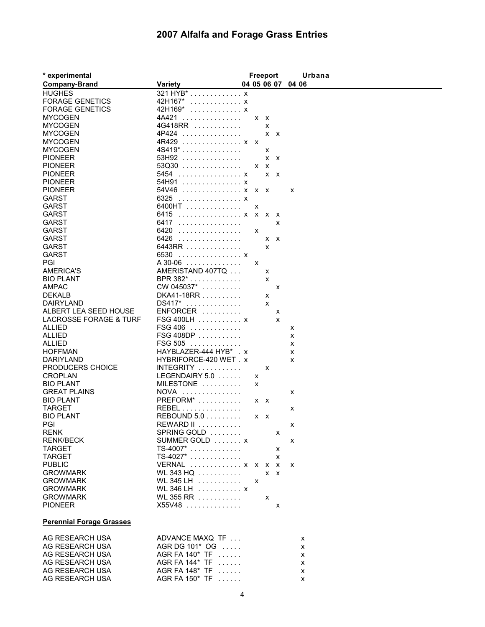## **2007 Alfalfa and Forage Grass Entries**

| * experimental                  |                              |              | <b>Freeport</b> |   | Urbana            |
|---------------------------------|------------------------------|--------------|-----------------|---|-------------------|
| <b>Company-Brand</b>            | <b>Variety</b>               |              |                 |   | 04 05 06 07 04 06 |
| <b>HUGHES</b>                   | 321 HYB* x                   |              |                 |   |                   |
| <b>FORAGE GENETICS</b>          | 42H167*<br>. X               |              |                 |   |                   |
| <b>FORAGE GENETICS</b>          | 42H169*<br>. X               |              |                 |   |                   |
| <b>MYCOGEN</b>                  | 4A421                        | $X$ $X$      |                 |   |                   |
| <b>MYCOGEN</b>                  | 4G418RR                      |              | X               |   |                   |
| <b>MYCOGEN</b>                  | 4P424                        |              | $X$ $X$         |   |                   |
| <b>MYCOGEN</b>                  | 4R429  x x                   |              |                 |   |                   |
| <b>MYCOGEN</b>                  | $4S419$ *                    |              | X               |   |                   |
| <b>PIONEER</b>                  | 53H92                        |              | $x \times$      |   |                   |
| <b>PIONEER</b>                  | $53Q30$                      | $X$ $X$      |                 |   |                   |
| <b>PIONEER</b>                  | 5454 x                       |              | $X$ $X$         |   |                   |
| <b>PIONEER</b>                  | 54H91  x                     |              |                 |   |                   |
| <b>PIONEER</b>                  | 54V46  x x x                 |              |                 |   | x                 |
| <b>GARST</b>                    | 6325 x                       |              |                 |   |                   |
| <b>GARST</b>                    | 6400HT                       | X            |                 |   |                   |
| <b>GARST</b>                    | 6415 x x x x                 |              |                 |   |                   |
| <b>GARST</b>                    | 6417                         |              |                 | X |                   |
| <b>GARST</b>                    | 6420<br>.                    | X            |                 |   |                   |
| <b>GARST</b>                    | 6426<br>.                    |              | $X$ $X$         |   |                   |
| <b>GARST</b>                    | 6443RR                       |              | X               |   |                   |
| <b>GARST</b>                    | 6530<br>. X                  |              |                 |   |                   |
| PGI                             | A 30-06                      | X            |                 |   |                   |
| <b>AMERICA'S</b>                | AMERISTAND 407TQ             |              | х               |   |                   |
| <b>BIO PLANT</b>                | BPR 382*                     |              | X               |   |                   |
| <b>AMPAC</b>                    | CW 045037*                   |              |                 | X |                   |
| <b>DEKALB</b>                   | DKA41-18RR                   |              | х               |   |                   |
| DAIRYLAND                       | DS417*<br>.                  |              | x               |   |                   |
| ALBERT LEA SEED HOUSE           | $ENFORCER$                   |              |                 | х |                   |
| LACROSSE FORAGE & TURF          | $FSG 400LH$ x                |              |                 | X |                   |
| ALLIED                          | FSG 406                      |              |                 |   | x                 |
| ALLIED                          | FSG 408DP                    |              |                 |   | x                 |
| <b>ALLIED</b>                   | $FSG 505$                    |              |                 |   | x                 |
| <b>HOFFMAN</b>                  | HAYBLAZER-444 HYB* . x       |              |                 |   | x                 |
| DARIYLAND                       | HYBRIFORCE-420 WET. x        |              |                 |   | x                 |
| <b>PRODUCERS CHOICE</b>         | $INTEGRITY$                  |              | X               |   |                   |
| <b>CROPLAN</b>                  | LEGENDAIRY $5.0$             | х            |                 |   |                   |
| <b>BIO PLANT</b>                | MILESTONE                    | х            |                 |   |                   |
| <b>GREAT PLAINS</b>             | <b>NOVA</b><br>.<br>PREFORM* |              |                 |   | х                 |
| <b>BIO PLANT</b>                |                              | $x \times$   |                 |   |                   |
| TARGET                          | REBEL                        |              |                 |   | x                 |
| <b>BIO PLANT</b>                | REBOUND $5.0$                | $X$ $X$      |                 |   |                   |
| PGI<br><b>RENK</b>              | SPRING GOLD                  |              |                 |   | x                 |
| <b>RENK/BECK</b>                | SUMMER GOLD  x               |              |                 | x | x                 |
| <b>TARGET</b>                   | $TS-4007$ *                  |              |                 |   |                   |
| <b>TARGET</b>                   | $TS-4027$ *                  |              |                 | x |                   |
| <b>PUBLIC</b>                   | VERNAL  x x x x              |              |                 | X | X                 |
| <b>GROWMARK</b>                 | WL 343 HQ                    |              | $X$ $X$         |   |                   |
| <b>GROWMARK</b>                 | WL 345 LH $\dots\dots\dots$  | $\mathsf{x}$ |                 |   |                   |
| <b>GROWMARK</b>                 | WL 346 LH x                  |              |                 |   |                   |
| <b>GROWMARK</b>                 | WL 355 RR                    |              | x               |   |                   |
| <b>PIONEER</b>                  | X55V48                       |              |                 | X |                   |
| <b>Perennial Forage Grasses</b> |                              |              |                 |   |                   |
|                                 |                              |              |                 |   |                   |
| AG RESEARCH USA                 | ADVANCE MAXQ TF              |              |                 |   | x                 |
| AG RESEARCH USA                 | AGR DG 101* OG               |              |                 |   | x                 |
| AG RESEARCH USA                 | AGR FA 140* TF               |              |                 |   | x                 |
| AG RESEARCH USA                 | AGR FA 144* TF               |              |                 |   | x                 |
| AG RESEARCH USA                 | AGR FA 148* TF               |              |                 |   | х                 |
| AG RESEARCH USA                 | AGR FA 150* TF               |              |                 |   | x                 |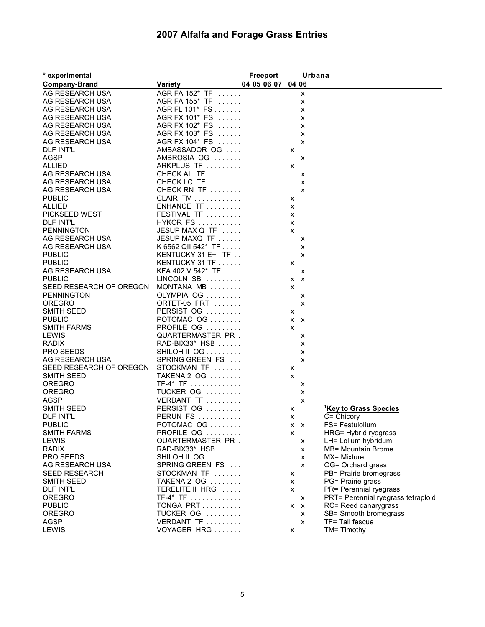## **2007 Alfalfa and Forage Grass Entries**

| * experimental                 |                              | Freeport          |              | Urbana                    |                                    |
|--------------------------------|------------------------------|-------------------|--------------|---------------------------|------------------------------------|
| <b>Company-Brand</b>           | <b>Variety</b>               | 04 05 06 07 04 06 |              |                           |                                    |
| AG RESEARCH USA                | AGR FA 152* TF               |                   |              | X                         |                                    |
| AG RESEARCH USA                | AGR FA 155* TF               |                   |              | X                         |                                    |
| AG RESEARCH USA                | AGR FL 101* FS               |                   |              | x                         |                                    |
| AG RESEARCH USA                | AGR FX 101* FS               |                   |              | х                         |                                    |
| AG RESEARCH USA                | AGR FX 102* FS               |                   |              | x                         |                                    |
| AG RESEARCH USA                | AGR FX 103* FS               |                   |              | $\boldsymbol{\mathsf{x}}$ |                                    |
| AG RESEARCH USA                | AGR FX 104* FS               |                   |              | X                         |                                    |
| <b>DLF INT'L</b>               | AMBASSADOR OG                |                   | x            |                           |                                    |
| <b>AGSP</b>                    | AMBROSIA OG                  |                   |              | x                         |                                    |
| <b>ALLIED</b>                  | ARKPLUS TF                   |                   | x            |                           |                                    |
| AG RESEARCH USA                | CHECK AL TF                  |                   |              | x                         |                                    |
| AG RESEARCH USA                | CHECK LC TF                  |                   |              | X                         |                                    |
| AG RESEARCH USA                | CHECK RN TF                  |                   |              | X                         |                                    |
| <b>PUBLIC</b>                  | $CLAIR TM$                   |                   | х            |                           |                                    |
| ALLIED                         | $ENHANCE TF$                 |                   | х            |                           |                                    |
| PICKSEED WEST                  | FESTIVAL TF                  |                   | X            |                           |                                    |
| <b>DLF INT'L</b>               | HYKOR FS                     |                   | X            |                           |                                    |
| <b>PENNINGTON</b>              | JESUP MAX Q TF               |                   | X            |                           |                                    |
| AG RESEARCH USA                | JESUP MAXQ TF                |                   |              |                           |                                    |
| AG RESEARCH USA                | K 6562 QII 542* TF           |                   |              | х                         |                                    |
|                                | KENTUCKY 31 $E+$ TF $\ldots$ |                   |              | X                         |                                    |
| <b>PUBLIC</b><br><b>PUBLIC</b> |                              |                   |              | X                         |                                    |
|                                | KENTUCKY 31 TF               |                   | x            |                           |                                    |
| AG RESEARCH USA                | $KFA 402 V 542* TF $         |                   |              | x                         |                                    |
| <b>PUBLIC</b>                  | LINCOLN SB                   |                   | $X$ $X$      |                           |                                    |
| SEED RESEARCH OF OREGON        | MONTANA MB                   |                   | $\mathsf{x}$ |                           |                                    |
| <b>PENNINGTON</b>              | OLYMPIA OG                   |                   |              | x                         |                                    |
| <b>OREGRO</b>                  | ORTET-05 PRT                 |                   |              | X                         |                                    |
| SMITH SEED                     | PERSIST OG                   |                   | х            |                           |                                    |
| <b>PUBLIC</b>                  | POTOMAC OG                   |                   | X X          |                           |                                    |
| <b>SMITH FARMS</b>             | PROFILE OG                   |                   | X            |                           |                                    |
| LEWIS                          | QUARTERMASTER PR.            |                   |              | X                         |                                    |
| <b>RADIX</b>                   | RAD-BIX33* HSB               |                   |              | X                         |                                    |
| PRO SEEDS                      | SHILOH II OG                 |                   |              | x                         |                                    |
| AG RESEARCH USA                | SPRING GREEN FS              |                   |              | X                         |                                    |
| SEED RESEARCH OF OREGON        | STOCKMAN TF                  |                   | x            |                           |                                    |
| <b>SMITH SEED</b>              | TAKENA 2 OG                  |                   | X            |                           |                                    |
| <b>OREGRO</b>                  | $TF-4* TF$                   |                   |              | х                         |                                    |
| <b>OREGRO</b>                  | TUCKER OG                    |                   |              | х                         |                                    |
| AGSP                           | VERDANT TF                   |                   |              | X                         |                                    |
| <b>SMITH SEED</b>              | PERSIST OG                   |                   | x            |                           | <sup>1</sup> Key to Grass Species  |
| <b>DLF INT'L</b>               | $PERUN FS$                   |                   | x            |                           | C= Chicory                         |
| PUBLIC.                        | POTOMAC OG                   |                   | x x          |                           | FS= Festulolium                    |
| <b>SMITH FARMS</b>             | PROFILE OG                   |                   | X            |                           | HRG= Hybrid ryegrass               |
| LEWIS                          | QUARTERMASTER PR.            |                   |              | x                         | LH= Lolium hybridum                |
| <b>RADIX</b>                   | RAD-BIX33* HSB               |                   |              | X                         | MB= Mountain Brome                 |
| PRO SEEDS                      | SHILOHIIOG                   |                   |              | X                         | MX= Mixture                        |
| AG RESEARCH USA                | SPRING GREEN FS              |                   |              | $\mathsf{x}$              | OG= Orchard grass                  |
| <b>SEED RESEARCH</b>           | STOCKMAN TF                  |                   | х            |                           | PB= Prairie bromegrass             |
| <b>SMITH SEED</b>              | TAKENA 2 OG                  |                   | X            |                           | PG= Prairie grass                  |
| <b>DLF INT'L</b>               | TERELITE II HRG              |                   | х            |                           | PR= Perennial ryegrass             |
| <b>OREGRO</b>                  | $TF-4* TF$                   |                   |              | X                         | PRT= Perennial ryegrass tetraploid |
| <b>PUBLIC</b>                  | TONGA PRT                    |                   | $X$ $X$      |                           | RC= Reed canarygrass               |
| <b>OREGRO</b>                  | TUCKER OG                    |                   |              | х                         | SB= Smooth bromegrass              |
| <b>AGSP</b>                    | VERDANT TF                   |                   |              | x                         | TF= Tall fescue                    |
| LEWIS                          | VOYAGER HRG                  |                   | x            |                           | TM= Timothy                        |